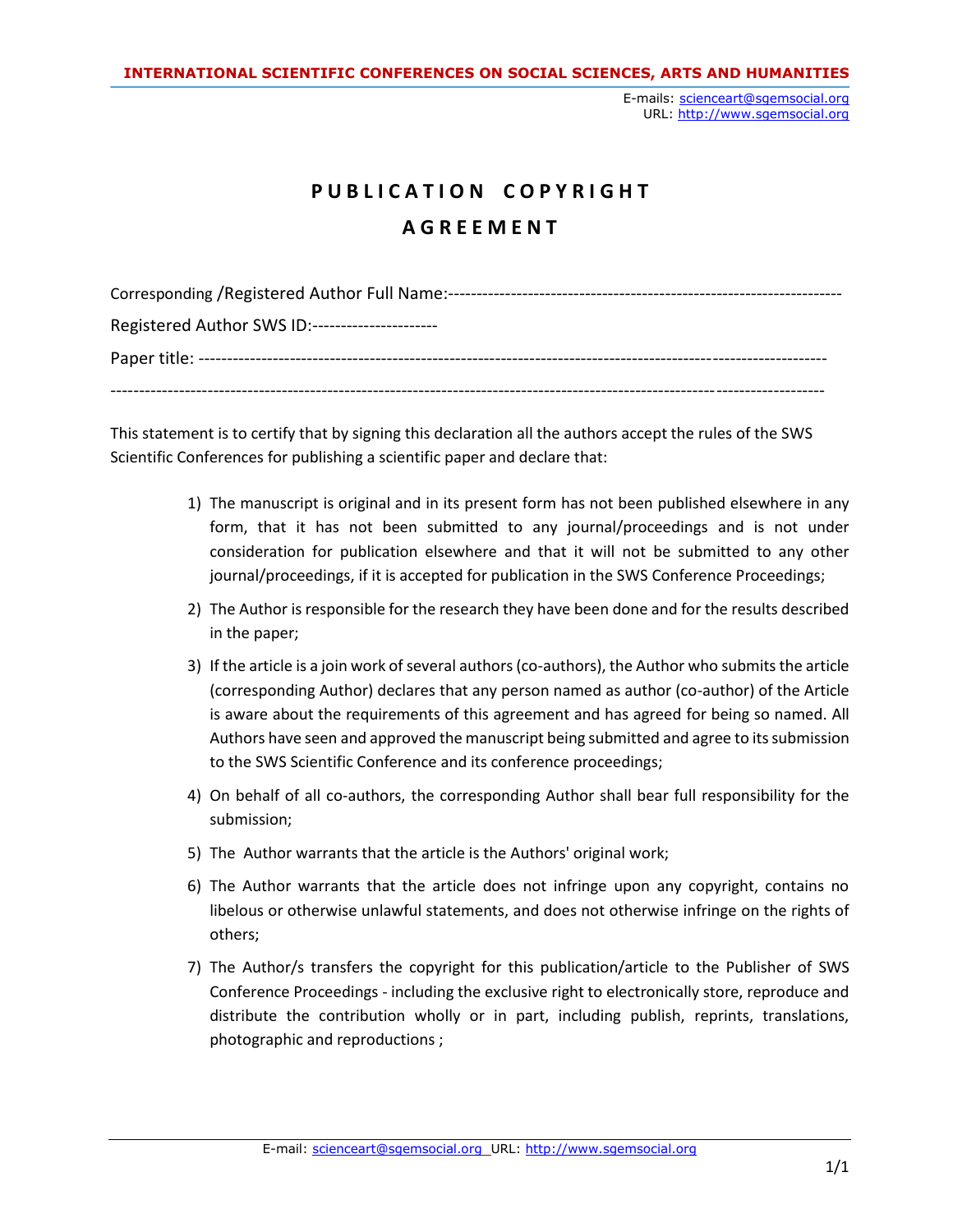E-mails: [scienceart@sgemsocial.org](mailto:scienceart@sgemsocial.org) URL: [http://www.sgemsocial.org](http://www.sgemsocial.org/)

## **P U B L I C A T I O N C O P Y R I G H T A G R E E M E N T**

| Corresponding / Registered Author Full Name:--- |
|-------------------------------------------------|
| Registered Author SWS ID:---------------------  |
|                                                 |
|                                                 |

This statement is to certify that by signing this declaration all the authors accept the rules of the SWS Scientific Conferences for publishing a scientific paper and declare that:

- 1) The manuscript is original and in its present form has not been published elsewhere in any form, that it has not been submitted to any journal/proceedings and is not under consideration for publication elsewhere and that it will not be submitted to any other journal/proceedings, if it is accepted for publication in the SWS Conference Proceedings;
- 2) The Author is responsible for the research they have been done and for the results described in the paper;
- 3) If the article is a join work of several authors (co-authors), the Author who submits the article (corresponding Author) declares that any person named as author (co-author) of the Article is aware about the requirements of this agreement and has agreed for being so named. All Authors have seen and approved the manuscript being submitted and agree to its submission to the SWS Scientific Conference and its conference proceedings;
- 4) On behalf of all co-authors, the corresponding Author shall bear full responsibility for the submission;
- 5) The Author warrants that the article is the Authors' original work;
- 6) The Author warrants that the article does not infringe upon any copyright, contains no libelous or otherwise unlawful statements, and does not otherwise infringe on the rights of others;
- 7) The Author/s transfers the copyright for this publication/article to the Publisher of SWS Conference Proceedings - including the exclusive right to electronically store, reproduce and distribute the contribution wholly or in part, including publish, reprints, translations, photographic and reproductions ;